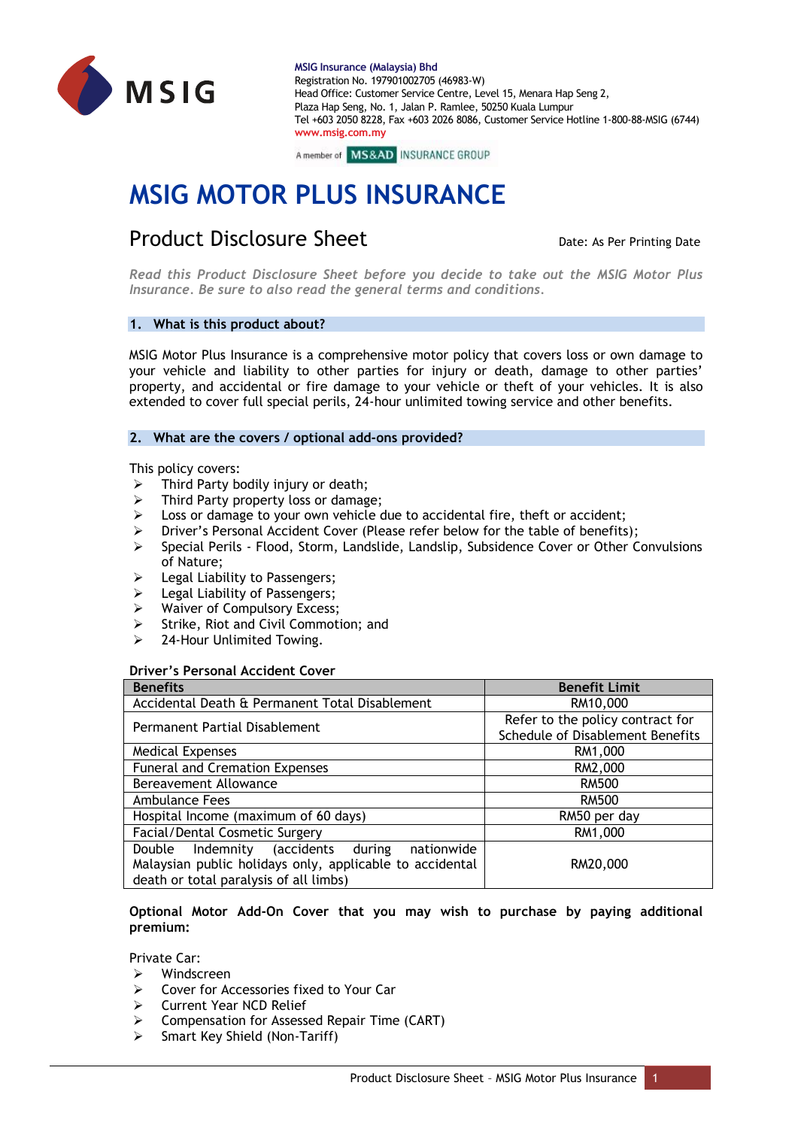



# **MSIG MOTOR PLUS INSURANCE**

# **Product Disclosure Sheet** Date: As Per Printing Date: As Per Printing Date

*Read this Product Disclosure Sheet before you decide to take out the MSIG Motor Plus Insurance. Be sure to also read the general terms and conditions.*

# **1. What is this product about?**

MSIG Motor Plus Insurance is a comprehensive motor policy that covers loss or own damage to your vehicle and liability to other parties for injury or death, damage to other parties' property, and accidental or fire damage to your vehicle or theft of your vehicles. It is also extended to cover full special perils, 24-hour unlimited towing service and other benefits.

# **2. What are the covers / optional add-ons provided?**

This policy covers:

- $\triangleright$  Third Party bodily injury or death;
- Third Party property loss or damage;
- ➢ Loss or damage to your own vehicle due to accidental fire, theft or accident;
- ➢ Driver's Personal Accident Cover (Please refer below for the table of benefits);
- ➢ Special Perils Flood, Storm, Landslide, Landslip, Subsidence Cover or Other Convulsions of Nature;
- ➢ Legal Liability to Passengers;
- ➢ Legal Liability of Passengers;
- Waiver of Compulsory Excess;
- Strike, Riot and Civil Commotion; and
- 24-Hour Unlimited Towing.

#### **Driver's Personal Accident Cover**

| <b>Benefits</b>                                                                                                                                           | <b>Benefit Limit</b>                                                 |
|-----------------------------------------------------------------------------------------------------------------------------------------------------------|----------------------------------------------------------------------|
| Accidental Death & Permanent Total Disablement                                                                                                            | RM10,000                                                             |
| Permanent Partial Disablement                                                                                                                             | Refer to the policy contract for<br>Schedule of Disablement Benefits |
| <b>Medical Expenses</b>                                                                                                                                   | RM1,000                                                              |
| <b>Funeral and Cremation Expenses</b>                                                                                                                     | RM2,000                                                              |
| Bereavement Allowance                                                                                                                                     | <b>RM500</b>                                                         |
| Ambulance Fees                                                                                                                                            | <b>RM500</b>                                                         |
| Hospital Income (maximum of 60 days)                                                                                                                      | RM50 per day                                                         |
| Facial/Dental Cosmetic Surgery                                                                                                                            | RM1,000                                                              |
| Indemnity (accidents during<br>nationwide<br>Double<br>Malaysian public holidays only, applicable to accidental<br>death or total paralysis of all limbs) | RM20,000                                                             |

# **Optional Motor Add-On Cover that you may wish to purchase by paying additional premium:**

Private Car:

- ➢ Windscreen
- ➢ Cover for Accessories fixed to Your Car
- ➢ Current Year NCD Relief
- ➢ Compensation for Assessed Repair Time (CART)
- Smart Key Shield (Non-Tariff)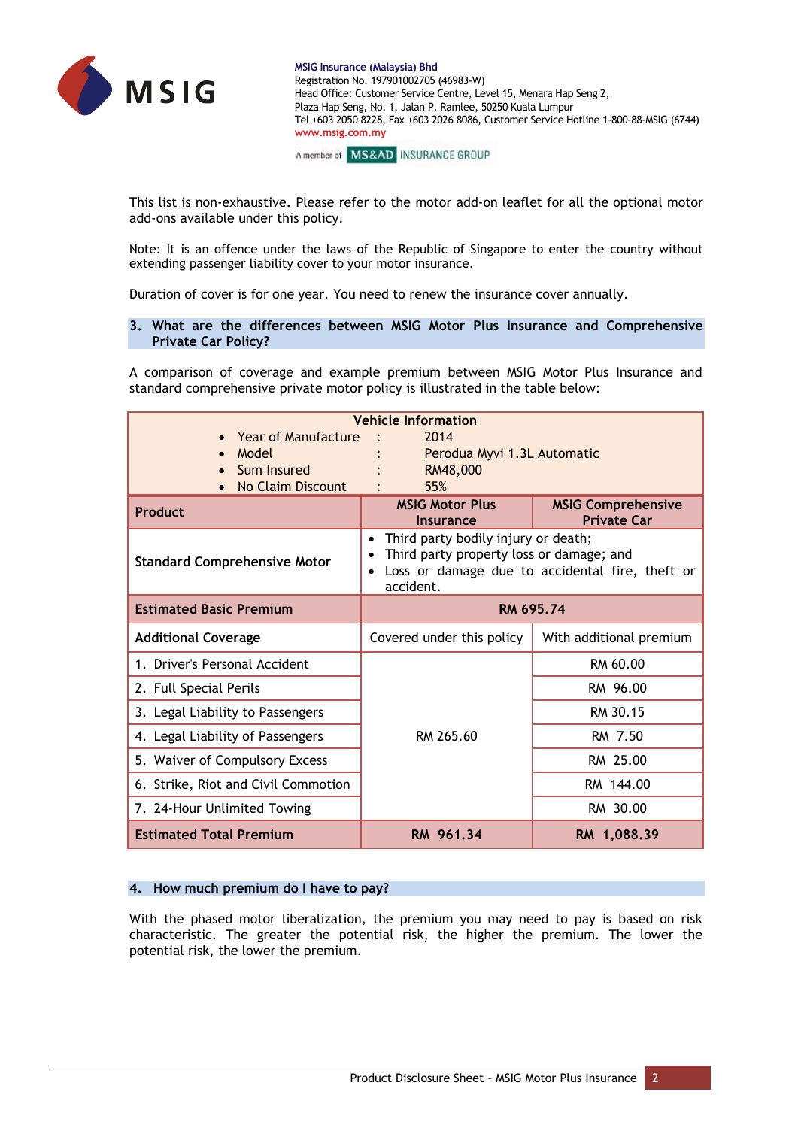

A member of MS&AD INSURANCE GROUP

This list is non-exhaustive. Please refer to the motor add-on leaflet for all the optional motor add-ons available under this policy.

Note: It is an offence under the laws of the Republic of Singapore to enter the country without extending passenger liability cover to your motor insurance.

Duration of cover is for one year. You need to renew the insurance cover annually.

## **3. What are the differences between MSIG Motor Plus Insurance and Comprehensive Private Car Policy?**

A comparison of coverage and example premium between MSIG Motor Plus Insurance and standard comprehensive private motor policy is illustrated in the table below:

| <b>Year of Manufacture</b><br>Model<br>Sum Insured<br>No Claim Discount | <b>Vehicle Information</b><br>2014<br>Perodua Myvi 1.3L Automatic<br>RM48,000<br>55%                                                            |                                                 |
|-------------------------------------------------------------------------|-------------------------------------------------------------------------------------------------------------------------------------------------|-------------------------------------------------|
| Product                                                                 | <b>MSIG Motor Plus</b><br><b>Insurance</b>                                                                                                      | <b>MSIG Comprehensive</b><br><b>Private Car</b> |
| <b>Standard Comprehensive Motor</b>                                     | Third party bodily injury or death;<br>Third party property loss or damage; and<br>Loss or damage due to accidental fire, theft or<br>accident. |                                                 |
| <b>Estimated Basic Premium</b>                                          | RM 695.74                                                                                                                                       |                                                 |
| <b>Additional Coverage</b>                                              | Covered under this policy                                                                                                                       | With additional premium                         |
| 1. Driver's Personal Accident                                           |                                                                                                                                                 | RM 60.00                                        |
| 2. Full Special Perils                                                  |                                                                                                                                                 | RM 96.00                                        |
| 3. Legal Liability to Passengers                                        |                                                                                                                                                 | RM 30.15                                        |
| 4. Legal Liability of Passengers                                        | RM 265.60                                                                                                                                       | RM 7.50                                         |
| 5. Waiver of Compulsory Excess                                          |                                                                                                                                                 | RM 25.00                                        |
| 6. Strike, Riot and Civil Commotion                                     |                                                                                                                                                 | RM 144.00                                       |
| 7. 24-Hour Unlimited Towing                                             |                                                                                                                                                 | RM 30.00                                        |
| <b>Estimated Total Premium</b>                                          | RM 961.34                                                                                                                                       | RM 1,088.39                                     |

# **4. How much premium do I have to pay?**

With the phased motor liberalization, the premium you may need to pay is based on risk characteristic. The greater the potential risk, the higher the premium. The lower the potential risk, the lower the premium.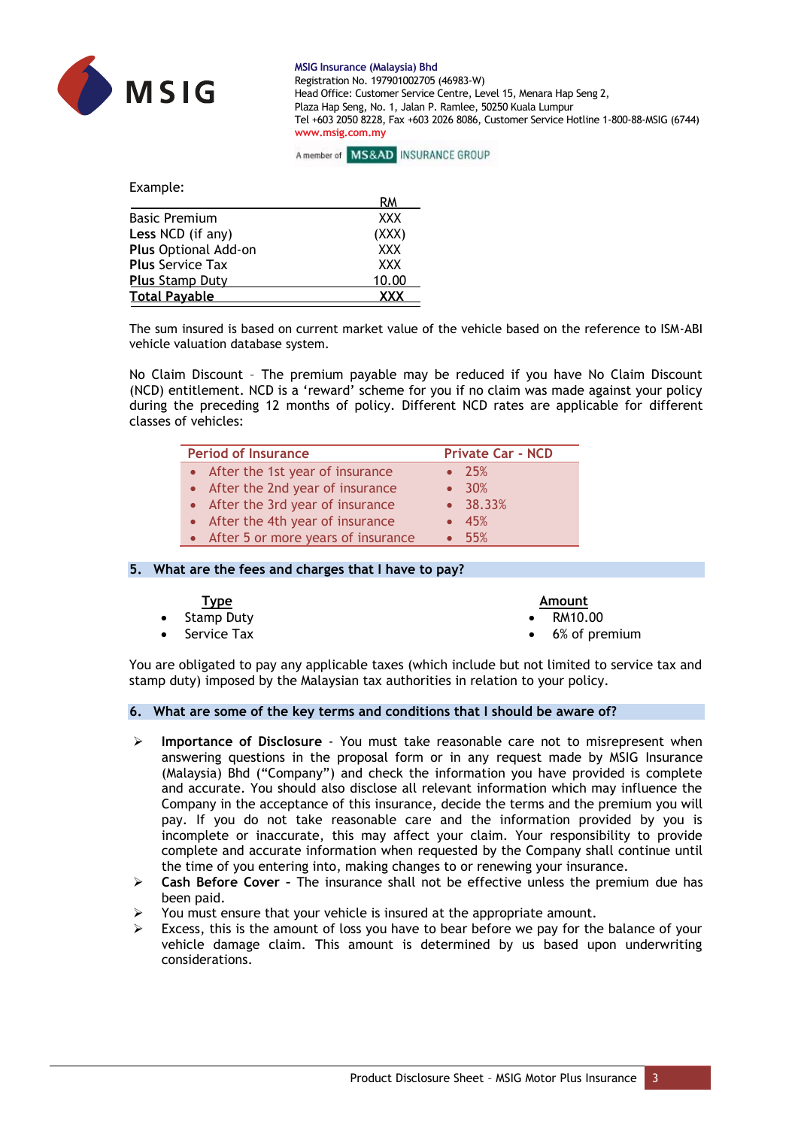



Example:

|                         | RМ         |
|-------------------------|------------|
| <b>Basic Premium</b>    | <b>XXX</b> |
| Less NCD (if any)       | (XXX)      |
| Plus Optional Add-on    | <b>XXX</b> |
| <b>Plus Service Tax</b> | <b>XXX</b> |
| <b>Plus Stamp Duty</b>  | 10.00      |
| <b>Total Payable</b>    | <b>XXX</b> |

The sum insured is based on current market value of the vehicle based on the reference to ISM-ABI vehicle valuation database system.

No Claim Discount – The premium payable may be reduced if you have No Claim Discount (NCD) entitlement. NCD is a 'reward' scheme for you if no claim was made against your policy during the preceding 12 months of policy. Different NCD rates are applicable for different classes of vehicles:

| <b>Period of Insurance</b>           | <b>Private Car - NCD</b> |
|--------------------------------------|--------------------------|
| • After the 1st year of insurance    | $\bullet$ 25%            |
| • After the 2nd year of insurance    | $\bullet$ 30%            |
| • After the 3rd year of insurance    | $\bullet$ 38.33%         |
| • After the 4th year of insurance    | • 45%                    |
| • After 5 or more years of insurance | • 55%                    |

#### **5. What are the fees and charges that I have to pay?**

| <u>Type</u>           | Amount                  |
|-----------------------|-------------------------|
| • Stamp Duty          | $\bullet$ RM10.00       |
| $\bullet$ Service Tax | $\bullet$ 6% of premium |

You are obligated to pay any applicable taxes (which include but not limited to service tax and stamp duty) imposed by the Malaysian tax authorities in relation to your policy.

## **6. What are some of the key terms and conditions that I should be aware of?**

- ➢ **Importance of Disclosure**  You must take reasonable care not to misrepresent when answering questions in the proposal form or in any request made by MSIG Insurance (Malaysia) Bhd ("Company") and check the information you have provided is complete and accurate. You should also disclose all relevant information which may influence the Company in the acceptance of this insurance, decide the terms and the premium you will pay. If you do not take reasonable care and the information provided by you is incomplete or inaccurate, this may affect your claim. Your responsibility to provide complete and accurate information when requested by the Company shall continue until the time of you entering into, making changes to or renewing your insurance.
- ➢ **Cash Before Cover –** The insurance shall not be effective unless the premium due has been paid.
- You must ensure that your vehicle is insured at the appropriate amount.
- Excess, this is the amount of loss you have to bear before we pay for the balance of your vehicle damage claim. This amount is determined by us based upon underwriting considerations.